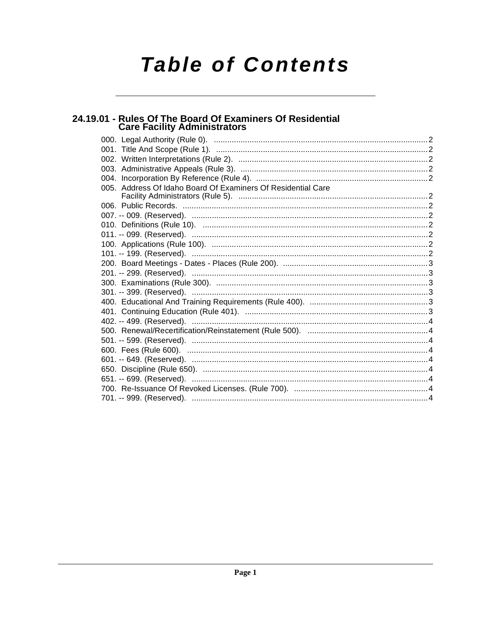# **Table of Contents**

## 24.19.01 - Rules Of The Board Of Examiners Of Residential<br>Care Facility Administrators

| 005. Address Of Idaho Board Of Examiners Of Residential Care |  |
|--------------------------------------------------------------|--|
|                                                              |  |
|                                                              |  |
|                                                              |  |
|                                                              |  |
|                                                              |  |
|                                                              |  |
|                                                              |  |
|                                                              |  |
|                                                              |  |
|                                                              |  |
|                                                              |  |
|                                                              |  |
|                                                              |  |
|                                                              |  |
|                                                              |  |
|                                                              |  |
|                                                              |  |
|                                                              |  |
|                                                              |  |
|                                                              |  |
|                                                              |  |
|                                                              |  |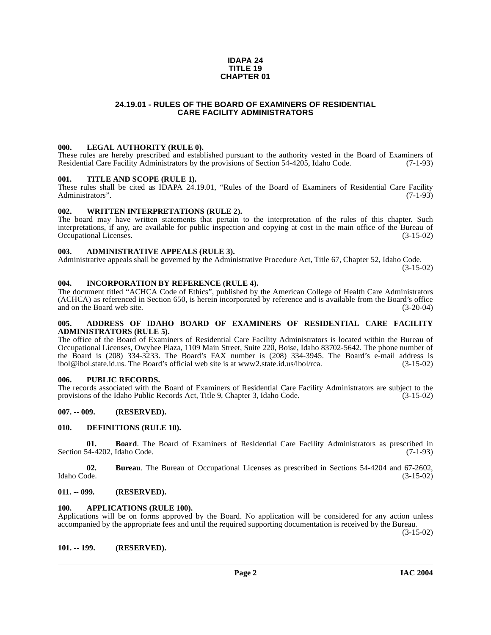#### **IDAPA 24 TITLE 19 CHAPTER 01**

## **24.19.01 - RULES OF THE BOARD OF EXAMINERS OF RESIDENTIAL CARE FACILITY ADMINISTRATORS**

#### <span id="page-1-1"></span><span id="page-1-0"></span>**000. LEGAL AUTHORITY (RULE 0).**

These rules are hereby prescribed and established pursuant to the authority vested in the Board of Examiners of Residential Care Facility Administrators by the provisions of Section 54-4205. Idaho Code. (7-1-93) Residential Care Facility Administrators by the provisions of Section 54-4205, Idaho Code.

#### <span id="page-1-2"></span>**001. TITLE AND SCOPE (RULE 1).**

These rules shall be cited as IDAPA 24.19.01, "Rules of the Board of Examiners of Residential Care Facility Administrators".  $(7-1-93)$ Administrators".

#### <span id="page-1-15"></span><span id="page-1-3"></span>**002. WRITTEN INTERPRETATIONS (RULE 2).**

The board may have written statements that pertain to the interpretation of the rules of this chapter. Such interpretations, if any, are available for public inspection and copying at cost in the main office of the Bureau of Occupational Licenses. (3-15-02)

## <span id="page-1-4"></span>**003. ADMINISTRATIVE APPEALS (RULE 3).**

Administrative appeals shall be governed by the Administrative Procedure Act, Title 67, Chapter 52, Idaho Code.

(3-15-02)

#### <span id="page-1-5"></span>**004. INCORPORATION BY REFERENCE (RULE 4).**

The document titled "ACHCA Code of Ethics", published by the American College of Health Care Administrators (ACHCA) as referenced in Section 650, is herein incorporated by reference and is available from the Board's office and on the Board web site. (3-20-04)

#### <span id="page-1-6"></span>**005. ADDRESS OF IDAHO BOARD OF EXAMINERS OF RESIDENTIAL CARE FACILITY ADMINISTRATORS (RULE 5).**

[The office of the Board of Examiners of Residential Care Facility Administrators is located within the Bureau of](http://www2.state.id.us/ibol/rca) Occupational Licenses, Owyhee Plaza, 1109 Main Street, Suite 220, Boise, Idaho 83702-5642. The phone number of the Board is (208) 334-3233. The Board's FAX number is (208) 334-3945. The Board's e-mail address is ibol@ibol.state.id.us. The Board's official web site is at www2.state.id.us/ibol/rca. (3-15-02)

## <span id="page-1-7"></span>**006. PUBLIC RECORDS.**

The records associated with the Board of Examiners of Residential Care Facility Administrators are subject to the provisions of the Idaho Public Records Act, Title 9, Chapter 3, Idaho Code. (3-15-02) provisions of the Idaho Public Records Act, Title 9, Chapter 3, Idaho Code.

## <span id="page-1-8"></span>**007. -- 009. (RESERVED).**

#### <span id="page-1-14"></span><span id="page-1-9"></span>**010. DEFINITIONS (RULE 10).**

**01. Board**. The Board of Examiners of Residential Care Facility Administrators as prescribed in Section 54-4202, Idaho Code.  $(7-1-93)$ 

**02.** Bureau. The Bureau of Occupational Licenses as prescribed in Sections 54-4204 and 67-2602, Idaho Code. (3-15-02) Idaho Code. (3-15-02)

## <span id="page-1-10"></span>**011. -- 099. (RESERVED).**

#### <span id="page-1-13"></span><span id="page-1-11"></span>**100. APPLICATIONS (RULE 100).**

Applications will be on forms approved by the Board. No application will be considered for any action unless accompanied by the appropriate fees and until the required supporting documentation is received by the Bureau.

(3-15-02)

#### <span id="page-1-12"></span>**101. -- 199. (RESERVED).**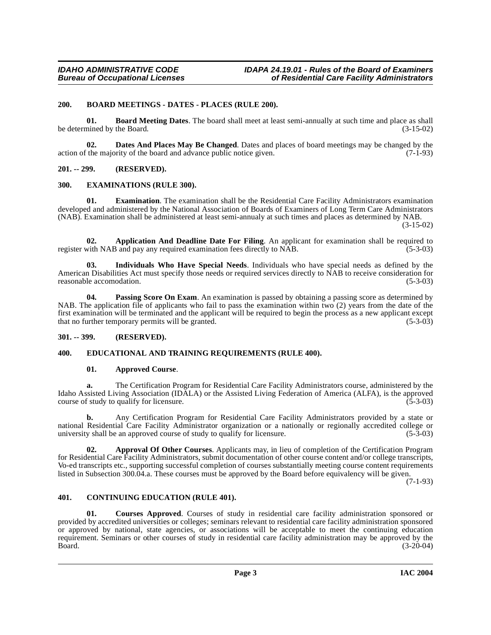## <span id="page-2-10"></span><span id="page-2-0"></span>**200. BOARD MEETINGS - DATES - PLACES (RULE 200).**

<span id="page-2-9"></span>**01. Board Meeting Dates**. The board shall meet at least semi-annually at such time and place as shall be determined by the Board. (3-15-02)

<span id="page-2-13"></span>**02. Dates And Places May Be Changed**. Dates and places of board meetings may be changed by the interval in the majority of the board and advance public notice given. (7-1-93) action of the majority of the board and advance public notice given.

<span id="page-2-1"></span>**201. -- 299. (RESERVED).**

## <span id="page-2-15"></span><span id="page-2-2"></span>**300. EXAMINATIONS (RULE 300).**

**01. Examination**. The examination shall be the Residential Care Facility Administrators examination developed and administered by the National Association of Boards of Examiners of Long Term Care Administrators (NAB). Examination shall be administered at least semi-annualy at such times and places as determined by NAB.

(3-15-02)

<span id="page-2-6"></span>**02. Application And Deadline Date For Filing**. An applicant for examination shall be required to register with NAB and pay any required examination fees directly to NAB. (5-3-03)

<span id="page-2-16"></span>**03. Individuals Who Have Special Needs**. Individuals who have special needs as defined by the American Disabilities Act must specify those needs or required services directly to NAB to receive consideration for reasonable accomodation. (5-3-03)

<span id="page-2-17"></span>**04. Passing Score On Exam**. An examination is passed by obtaining a passing score as determined by NAB. The application file of applicants who fail to pass the examination within two (2) years from the date of the first examination will be terminated and the applicant will be required to begin the process as a new applicant except that no further temporary permits will be granted. (5-3-03) that no further temporary permits will be granted.

## <span id="page-2-3"></span>**301. -- 399. (RESERVED).**

## <span id="page-2-4"></span>**400. EDUCATIONAL AND TRAINING REQUIREMENTS (RULE 400).**

## <span id="page-2-14"></span><span id="page-2-8"></span>**01. Approved Course**.

**a.** The Certification Program for Residential Care Facility Administrators course, administered by the Idaho Assisted Living Association (IDALA) or the Assisted Living Federation of America (ALFA), is the approved course of study to qualify for licensure.  $(5-3-03)$ 

**b.** Any Certification Program for Residential Care Facility Administrators provided by a state or national Residential Care Facility Administrator organization or a nationally or regionally accredited college or university shall be an approved course of study to qualify for licensure. (5-3-03)

<span id="page-2-7"></span>**02. Approval Of Other Courses**. Applicants may, in lieu of completion of the Certification Program for Residential Care Facility Administrators, submit documentation of other course content and/or college transcripts, Vo-ed transcripts etc., supporting successful completion of courses substantially meeting course content requirements listed in Subsection 300.04.a. These courses must be approved by the Board before equivalency will be given.

(7-1-93)

## <span id="page-2-11"></span><span id="page-2-5"></span>**401. CONTINUING EDUCATION (RULE 401).**

<span id="page-2-12"></span>**01. Courses Approved**. Courses of study in residential care facility administration sponsored or provided by accredited universities or colleges; seminars relevant to residential care facility administration sponsored or approved by national, state agencies, or associations will be acceptable to meet the continuing education requirement. Seminars or other courses of study in residential care facility administration may be approved by the Board. (3-20-04) Board. (3-20-04)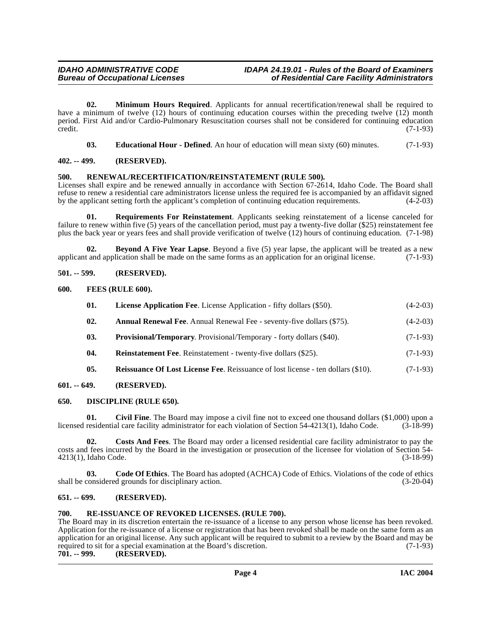**02. Minimum Hours Required**. Applicants for annual recertification/renewal shall be required to have a minimum of twelve (12) hours of continuing education courses within the preceding twelve (12) month period. First Aid and/or Cardio-Pulmonary Resuscitation courses shall not be considered for continuing education  $\text{credit.}$  (7-1-93)

<span id="page-3-22"></span><span id="page-3-15"></span>**03. Educational Hour - Defined**. An hour of education will mean sixty (60) minutes. (7-1-93)

## <span id="page-3-0"></span>**402. -- 499. (RESERVED).**

## <span id="page-3-1"></span>**500. RENEWAL/RECERTIFICATION/REINSTATEMENT (RULE 500).**

Licenses shall expire and be renewed annually in accordance with Section 67-2614, Idaho Code. The Board shall refuse to renew a residential care administrators license unless the required fee is accompanied by an affidavit signed by the applicant setting forth the applicant's completion of continuing education requirements. (4-2-03)

<span id="page-3-23"></span>**01. Requirements For Reinstatement**. Applicants seeking reinstatement of a license canceled for failure to renew within five (5) years of the cancellation period, must pay a twenty-five dollar (\$25) reinstatement fee plus the back year or years fees and shall provide verification of twelve (12) hours of continuing education. (7-1-98)

<span id="page-3-10"></span>**02. Beyond A Five Year Lapse**. Beyond a five (5) year lapse, the applicant will be treated as a new applicant and application shall be made on the same forms as an application for an original license. (7-1-93)

## <span id="page-3-2"></span>**501. -- 599. (RESERVED).**

## <span id="page-3-3"></span>**600. FEES (RULE 600).**

<span id="page-3-17"></span><span id="page-3-16"></span><span id="page-3-9"></span>

| 01. | <b>License Application Fee.</b> License Application - fifty dollars (\$50).  | $(4-2-03)$ |
|-----|------------------------------------------------------------------------------|------------|
| 02. | <b>Annual Renewal Fee.</b> Annual Renewal Fee - seventy-five dollars (\$75). | $(4-2-03)$ |
| 03. | <b>Provisional/Temporary.</b> Provisional/Temporary - forty dollars (\$40).  | $(7-1-93)$ |

<span id="page-3-21"></span><span id="page-3-19"></span><span id="page-3-18"></span>**04.** Reinstatement Fee. Reinstatement - twenty-five dollars (\$25). (7-1-93)

<span id="page-3-14"></span><span id="page-3-11"></span>**05.** Reissuance Of Lost License Fee. Reissuance of lost license - ten dollars (\$10). (7-1-93)

## <span id="page-3-4"></span>**601. -- 649. (RESERVED).**

## <span id="page-3-5"></span>**650. DISCIPLINE (RULE 650).**

**01.** Civil Fine. The Board may impose a civil fine not to exceed one thousand dollars (\$1,000) upon a residential care facility administrator for each violation of Section 54-4213(1). Idaho Code. (3-18-99) licensed residential care facility administrator for each violation of Section 54-4213(1), Idaho Code.

<span id="page-3-13"></span>**02. Costs And Fees**. The Board may order a licensed residential care facility administrator to pay the costs and fees incurred by the Board in the investigation or prosecution of the licensee for violation of Section 54-<br>4213(1), Idaho Code. (3-18-99) 4213(1), Idaho Code.

<span id="page-3-12"></span>**03. Code Of Ethics**. The Board has adopted (ACHCA) Code of Ethics. Violations of the code of ethics shall be considered grounds for disciplinary action. (3-20-04)

## <span id="page-3-6"></span>**651. -- 699. (RESERVED).**

## <span id="page-3-20"></span><span id="page-3-7"></span>**700. RE-ISSUANCE OF REVOKED LICENSES. (RULE 700).**

<span id="page-3-8"></span>The Board may in its discretion entertain the re-issuance of a license to any person whose license has been revoked. Application for the re-issuance of a license or registration that has been revoked shall be made on the same form as an application for an original license. Any such applicant will be required to submit to a review by the Board and may be required to sit for a special examination at the Board's discretion. (7-1-93) required to sit for a special examination at the Board's discretion.<br>**701.** -- 999. (RESERVED). **701. -- 999. (RESERVED).**